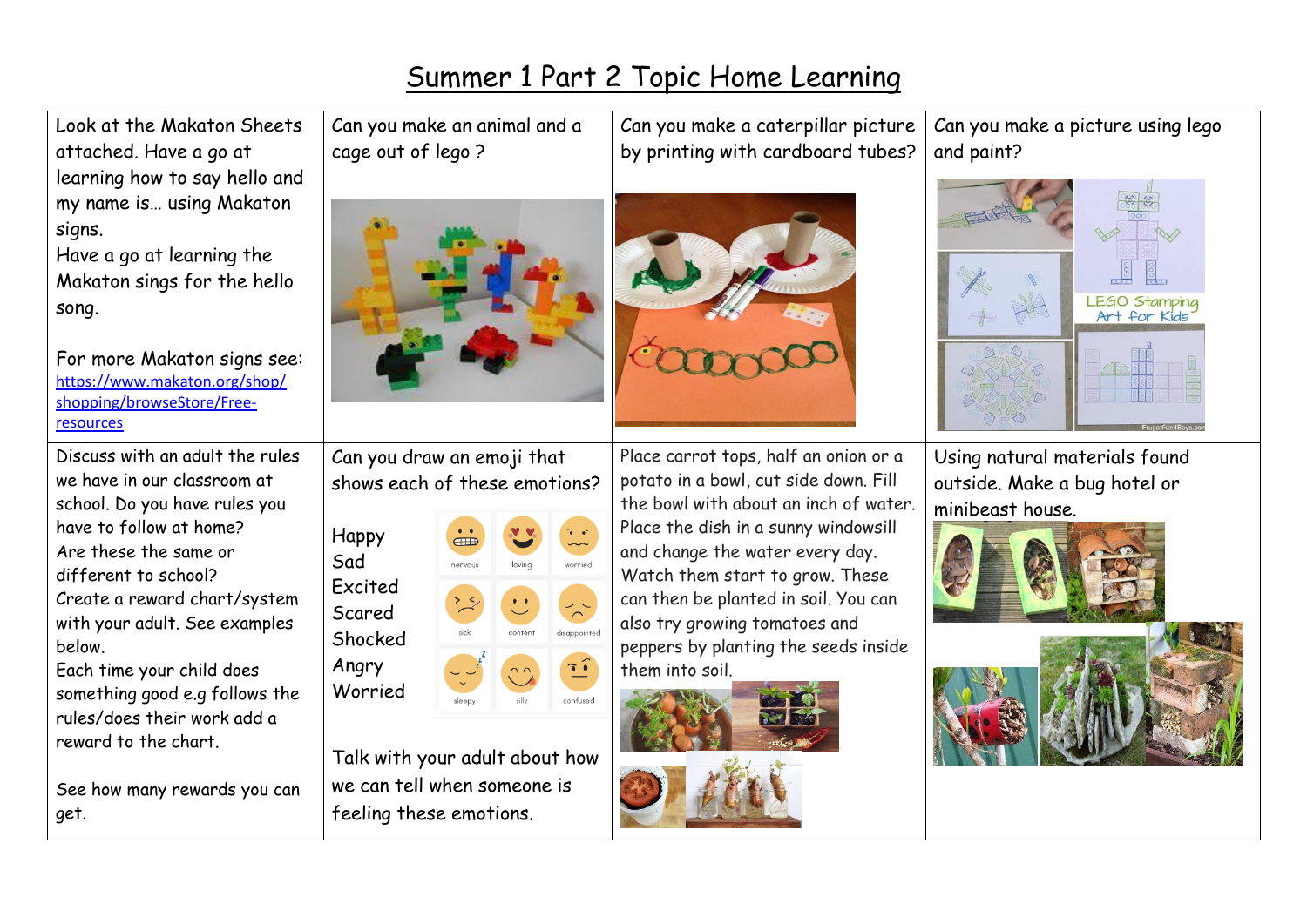## Summer 1 Part 2 Topic Home Learning

Look at the Makaton Sheets Can you make an animal and a Can you make a caterpillar picture Can you make a picture using lego attached. Have a go at cage out of lego ? by printing with cardboard tubes? and paint? learning how to say hello and my name is… using Makaton signs. Have a go at learning the Makaton sings for the hello **LEGO Stamping** song. Art for Kids For more Makaton signs see: [https://www.makaton.org/shop/](https://www.makaton.org/shop/shopping/browseStore/Free-resources) [shopping/browseStore/Free](https://www.makaton.org/shop/shopping/browseStore/Free-resources)[resources](https://www.makaton.org/shop/shopping/browseStore/Free-resources) Discuss with an adult the rules Place carrot tops, half an onion or a Can you draw an emoji that Using natural materials found we have in our classroom at shows each of these emotions? potato in a bowl, cut side down. Fill outside. Make a bug hotel or school. Do you have rules you the bowl with about an inch of water. minibeast house.have to follow at home? Place the dish in a sunny windowsill Happy Are these the same or and change the water every day. Sad nervous wonnind different to school? Watch them start to grow. These Excited Create a reward chart/system can then be planted in soil. You can Scared with your adult. See examples also try growing tomatoes and disappointed Shocked below. peppers by planting the seeds inside Angry Each time your child does  $\tilde{\mathbf{C}}$ them into soil. Worried something good e.g follows the rules/does their work add a reward to the chart. Talk with your adult about how we can tell when someone is See how many rewards you can feeling these emotions. get.